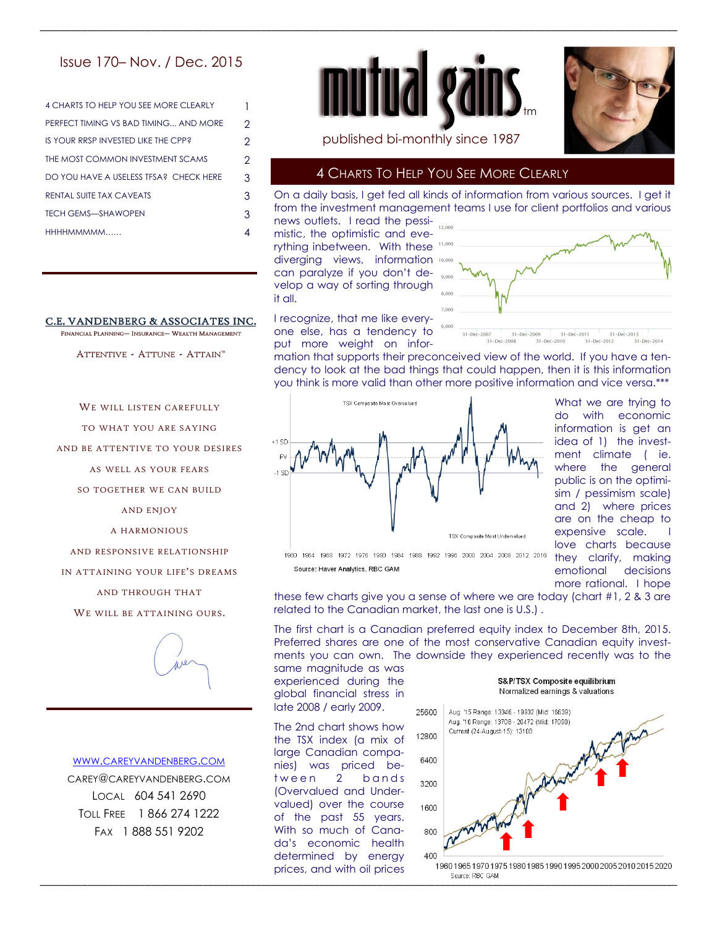# Issue 170– Nov. / Dec. 2015

| <b>4 CHARTS TO HELP YOU SEE MORE CLEARLY</b> |   |
|----------------------------------------------|---|
| PERFECT TIMING VS BAD TIMING AND MORE        | 2 |
| IS YOUR RRSP INVESTED LIKE THE CPP?          | 2 |
| THE MOST COMMON INVESTMENT SCAMS             | 2 |
| DO YOU HAVE A USELESS TFSA? CHECK HERE       | 3 |
| RENTAL SUITE TAX CAVEATS                     | 3 |
| <b>TECH GEMS-SHAWOPEN</b>                    | 3 |
| HHHHMMMMM                                    |   |
|                                              |   |

#### C.E. VANDENBERG & ASSOCIATES INC. FINANCIAL PLANNING- INSURANCE- WEALTH MANAGEMENT

ATTENTIVE - ATTUNE - ATTAIN™

WE WILL LISTEN CAREFULLY TO WHAT YOU ARE SAYING AND BE ATTENTIVE TO YOUR DESIRES AS WELL AS YOUR FEARS SO TOGETHER WE CAN BUILD AND ENJOY A HARMONIOUS AND RESPONSIVE RELATIONSHIP IN ATTAINING YOUR LIFE'S DREAMS AND THROUGH THAT WE WILL BE ATTAINING OURS.



#### WWW.CAREYVANDENBERG.COM

CAREY@CAREYVANDENBERG.COM LOCAL 604 541 2690 TOLL FREE 1 866 274 1222 FAX 1 888 551 9202





published bi-monthly since 1987

#### 4 CHARTS TO HELP YOU SEE MORE CLEARLY

On a daily basis, I get fed all kinds of information from various sources. I get it from the investment management teams I use for client portfolios and various

news outlets. I read the pessimistic, the optimistic and everything inbetween. With these 11,000 diverging views, information 10,000 can paralyze if you don't develop a way of sorting through it all.

\_\_\_\_\_\_\_\_\_\_\_\_\_\_\_\_\_\_\_\_\_\_\_\_\_\_\_\_\_\_\_\_\_\_\_\_\_\_\_\_\_\_\_\_\_\_\_\_\_\_\_\_\_\_\_\_\_\_\_\_\_\_\_\_\_\_\_\_\_\_\_\_\_\_\_\_\_\_\_\_\_\_\_\_\_\_\_\_\_\_\_\_\_\_\_\_\_\_\_\_\_\_\_\_\_\_\_\_\_\_\_\_\_\_\_\_\_\_\_\_\_

I recognize, that me like everyone else, has a tendency to put more weight on infor-



mation that supports their preconceived view of the world. If you have a tendency to look at the bad things that could happen, then it is this information you think is more valid than other more positive information and vice versa.\*\*\*



What we are trying to do with economic information is get an idea of 1) the investment climate ( ie. where the general public is on the optimisim / pessimism scale) and 2) where prices are on the cheap to expensive scale. love charts because they clarify, making emotional decisions more rational. I hope

these few charts give you a sense of where we are today (chart #1, 2 & 3 are related to the Canadian market, the last one is U.S.) .

The first chart is a Canadian preferred equity index to December 8th, 2015. Preferred shares are one of the most conservative Canadian equity investments you can own. The downside they experienced recently was to the same magnitude as was

experienced during the global financial stress in late 2008 / early 2009.

The 2nd chart shows how the TSX index (a mix of large Canadian companies) was priced between 2 bands (Overvalued and Undervalued) over the course of the past 55 years. With so much of Canada's economic health determined by energy prices, and with oil prices

S&P/TSX Composite equilibrium Normalized earnings & valuations

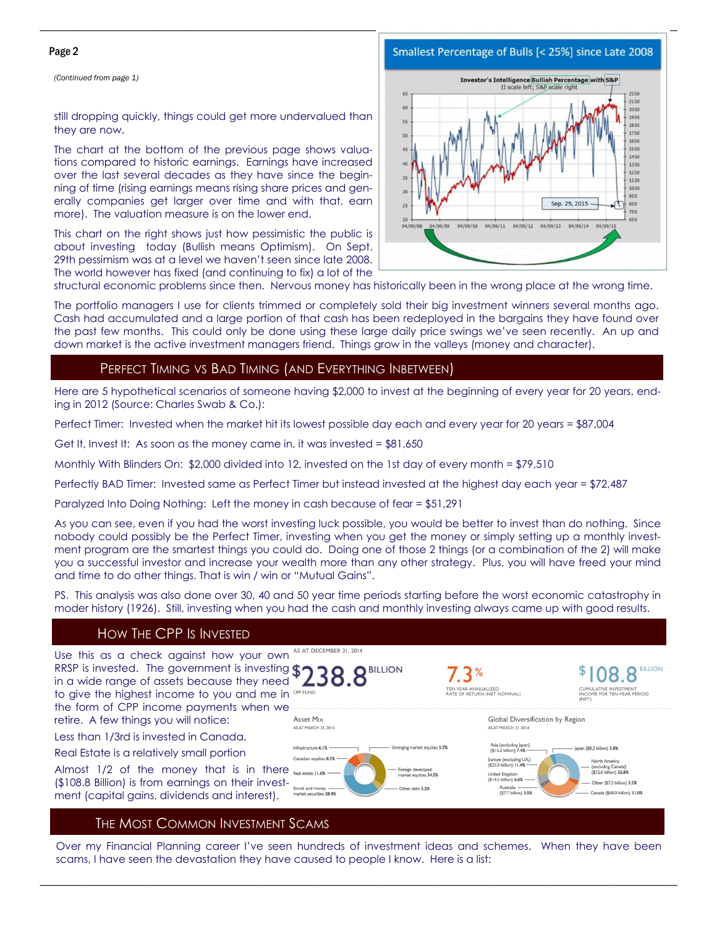#### Page 2

*(Continued from page 1)* 

#### still dropping quickly, things could get more undervalued than they are now.

The chart at the bottom of the previous page shows valuations compared to historic earnings. Earnings have increased over the last several decades as they have since the beginning of time (rising earnings means rising share prices and generally companies get larger over time and with that, earn more). The valuation measure is on the lower end.

This chart on the right shows just how pessimistic the public is about investing today (Bullish means Optimism). On Sept. 29th pessimism was at a level we haven't seen since late 2008. The world however has fixed (and continuing to fix) a lot of the



structural economic problems since then. Nervous money has historically been in the wrong place at the wrong time.

\_\_\_\_\_\_\_\_\_\_\_\_\_\_\_\_\_\_\_\_\_\_\_\_\_\_\_\_\_\_\_\_\_\_\_\_\_\_\_\_\_\_\_\_\_\_\_\_\_\_\_\_\_\_\_\_\_\_\_\_\_\_\_\_\_\_\_\_\_\_\_\_\_\_\_\_\_\_\_\_\_\_\_\_\_\_\_\_\_\_\_\_\_\_\_\_\_\_\_\_\_\_\_\_\_\_\_\_\_\_\_\_\_\_\_\_\_\_\_\_\_

The portfolio managers I use for clients trimmed or completely sold their big investment winners several months ago. Cash had accumulated and a large portion of that cash has been redeployed in the bargains they have found over the past few months. This could only be done using these large daily price swings we've seen recently. An up and down market is the active investment managers friend. Things grow in the valleys (money and character).

#### PERFECT TIMING VS BAD TIMING (AND EVERYTHING INBETWEEN)

Here are 5 hypothetical scenarios of someone having \$2,000 to invest at the beginning of every year for 20 years, ending in 2012 (Source: Charles Swab & Co.):

Perfect Timer: Invested when the market hit its lowest possible day each and every year for 20 years = \$87,004

Get It, Invest It: As soon as the money came in, it was invested =  $$81,650$ 

Monthly With Blinders On: \$2,000 divided into 12, invested on the 1st day of every month = \$79,510

Perfectly BAD Timer: Invested same as Perfect Timer but instead invested at the highest day each year = \$72,487

Paralyzed Into Doing Nothing: Left the money in cash because of fear = \$51,291

As you can see, even if you had the worst investing luck possible, you would be better to invest than do nothing. Since nobody could possibly be the Perfect Timer, investing when you get the money or simply setting up a monthly investment program are the smartest things you could do. Doing one of those 2 things (or a combination of the 2) will make you a successful investor and increase your wealth more than any other strategy. Plus, you will have freed your mind and time to do other things. That is win / win or "Mutual Gains".

PS. This analysis was also done over 30, 40 and 50 year time periods starting before the worst economic catastrophy in moder history (1926). Still, investing when you had the cash and monthly investing always came up with good results.

## HOW THE CPP IS INVESTED



## THE MOST COMMON INVESTMENT SCAMS

Over my Financial Planning career I've seen hundreds of investment ideas and schemes. When they have been scams, I have seen the devastation they have caused to people I know. Here is a list:

\_\_\_\_\_\_\_\_\_\_\_\_\_\_\_\_\_\_\_\_\_\_\_\_\_\_\_\_\_\_\_\_\_\_\_\_\_\_\_\_\_\_\_\_\_\_\_\_\_\_\_\_\_\_\_\_\_\_\_\_\_\_\_\_\_\_\_\_\_\_\_\_\_\_\_\_\_\_\_\_\_\_\_\_\_\_\_\_\_\_\_\_\_\_\_\_\_\_\_\_\_\_\_\_\_\_\_\_\_\_\_\_\_\_\_\_\_\_\_\_\_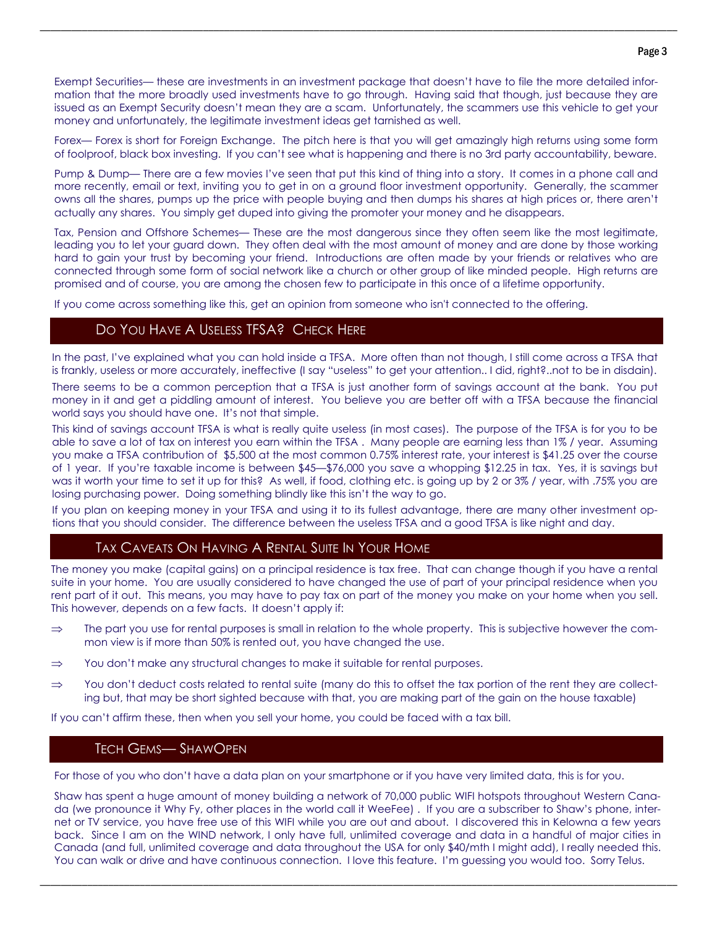Exempt Securities— these are investments in an investment package that doesn't have to file the more detailed information that the more broadly used investments have to go through. Having said that though, just because they are issued as an Exempt Security doesn't mean they are a scam. Unfortunately, the scammers use this vehicle to get your money and unfortunately, the legitimate investment ideas get tarnished as well.

\_\_\_\_\_\_\_\_\_\_\_\_\_\_\_\_\_\_\_\_\_\_\_\_\_\_\_\_\_\_\_\_\_\_\_\_\_\_\_\_\_\_\_\_\_\_\_\_\_\_\_\_\_\_\_\_\_\_\_\_\_\_\_\_\_\_\_\_\_\_\_\_\_\_\_\_\_\_\_\_\_\_\_\_\_\_\_\_\_\_\_\_\_\_\_\_\_\_\_\_\_\_\_\_\_\_\_\_\_\_\_\_\_\_\_\_\_\_\_\_\_

Forex— Forex is short for Foreign Exchange. The pitch here is that you will get amazingly high returns using some form of foolproof, black box investing. If you can't see what is happening and there is no 3rd party accountability, beware.

Pump & Dump— There are a few movies I've seen that put this kind of thing into a story. It comes in a phone call and more recently, email or text, inviting you to get in on a ground floor investment opportunity. Generally, the scammer owns all the shares, pumps up the price with people buying and then dumps his shares at high prices or, there aren't actually any shares. You simply get duped into giving the promoter your money and he disappears.

Tax, Pension and Offshore Schemes— These are the most dangerous since they often seem like the most legitimate, leading you to let your guard down. They often deal with the most amount of money and are done by those working hard to gain your trust by becoming your friend. Introductions are often made by your friends or relatives who are connected through some form of social network like a church or other group of like minded people. High returns are promised and of course, you are among the chosen few to participate in this once of a lifetime opportunity.

If you come across something like this, get an opinion from someone who isn't connected to the offering.

## DO YOU HAVE A USELESS TFSA? CHECK HERE

In the past, I've explained what you can hold inside a TFSA. More often than not though, I still come across a TFSA that is frankly, useless or more accurately, ineffective (I say "useless" to get your attention.. I did, right?..not to be in disdain).

There seems to be a common perception that a TFSA is just another form of savings account at the bank. You put money in it and get a piddling amount of interest. You believe you are better off with a TFSA because the financial world says you should have one. It's not that simple.

This kind of savings account TFSA is what is really quite useless (in most cases). The purpose of the TFSA is for you to be able to save a lot of tax on interest you earn within the TFSA . Many people are earning less than 1% / year. Assuming you make a TFSA contribution of \$5,500 at the most common 0.75% interest rate, your interest is \$41.25 over the course of 1 year. If you're taxable income is between \$45—\$76,000 you save a whopping \$12.25 in tax. Yes, it is savings but was it worth your time to set it up for this? As well, if food, clothing etc. is going up by 2 or 3% / year, with .75% you are losing purchasing power. Doing something blindly like this isn't the way to go.

If you plan on keeping money in your TFSA and using it to its fullest advantage, there are many other investment options that you should consider. The difference between the useless TFSA and a good TFSA is like night and day.

## TAX CAVEATS ON HAVING A RENTAL SUITE IN YOUR HOME

The money you make (capital gains) on a principal residence is tax free. That can change though if you have a rental suite in your home. You are usually considered to have changed the use of part of your principal residence when you rent part of it out. This means, you may have to pay tax on part of the money you make on your home when you sell. This however, depends on a few facts. It doesn't apply if:

- $\Rightarrow$  The part you use for rental purposes is small in relation to the whole property. This is subjective however the common view is if more than 50% is rented out, you have changed the use.
- $\Rightarrow$  You don't make any structural changes to make it suitable for rental purposes.
- $\Rightarrow$  You don't deduct costs related to rental suite (many do this to offset the tax portion of the rent they are collecting but, that may be short sighted because with that, you are making part of the gain on the house taxable)

If you can't affirm these, then when you sell your home, you could be faced with a tax bill.

#### TECH GEMS— SHAWOPEN

For those of you who don't have a data plan on your smartphone or if you have very limited data, this is for you.

Shaw has spent a huge amount of money building a network of 70,000 public WIFI hotspots throughout Western Canada (we pronounce it Why Fy, other places in the world call it WeeFee) . If you are a subscriber to Shaw's phone, internet or TV service, you have free use of this WIFI while you are out and about. I discovered this in Kelowna a few years back. Since I am on the WIND network, I only have full, unlimited coverage and data in a handful of major cities in Canada (and full, unlimited coverage and data throughout the USA for only \$40/mth I might add), I really needed this. You can walk or drive and have continuous connection. I love this feature. I'm guessing you would too. Sorry Telus.

\_\_\_\_\_\_\_\_\_\_\_\_\_\_\_\_\_\_\_\_\_\_\_\_\_\_\_\_\_\_\_\_\_\_\_\_\_\_\_\_\_\_\_\_\_\_\_\_\_\_\_\_\_\_\_\_\_\_\_\_\_\_\_\_\_\_\_\_\_\_\_\_\_\_\_\_\_\_\_\_\_\_\_\_\_\_\_\_\_\_\_\_\_\_\_\_\_\_\_\_\_\_\_\_\_\_\_\_\_\_\_\_\_\_\_\_\_\_\_\_\_